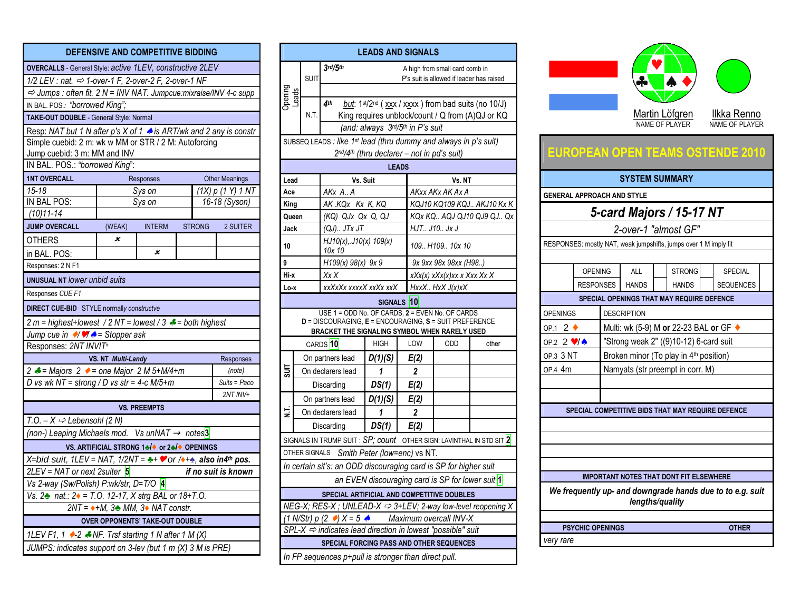|                                                                                                                                                                                     |                                                                 | DEFENSIVE AND COMPETITIVE BIDDING |  |               |                       |  |
|-------------------------------------------------------------------------------------------------------------------------------------------------------------------------------------|-----------------------------------------------------------------|-----------------------------------|--|---------------|-----------------------|--|
| OVERCALLS - General Style: active 1LEV, constructive 2LEV                                                                                                                           |                                                                 |                                   |  |               |                       |  |
| $1/2$ LEV : nat. $\Rightarrow$ 1-over-1 F, 2-over-2 F, 2-over-1 NF                                                                                                                  |                                                                 |                                   |  |               |                       |  |
| $\Rightarrow$ Jumps : often fit. 2 N = INV NAT. Jumpcue: mixraise/INV 4-c supp                                                                                                      |                                                                 |                                   |  |               |                       |  |
| IN BAL. POS.: "borrowed King";                                                                                                                                                      |                                                                 |                                   |  |               |                       |  |
| TAKE-OUT DOUBLE - General Style: Normal                                                                                                                                             |                                                                 |                                   |  |               |                       |  |
| Resp: NAT but 1 N after p's X of 1 & is ART/wk and 2 any is constr                                                                                                                  |                                                                 |                                   |  |               |                       |  |
| Simple cuebid: 2 m: wk w MM or STR / 2 M: Autoforcing                                                                                                                               |                                                                 |                                   |  |               |                       |  |
| Jump cuebid: 3 m: MM and INV                                                                                                                                                        |                                                                 |                                   |  |               |                       |  |
| IN BAL. POS.: "borrowed King":                                                                                                                                                      |                                                                 |                                   |  |               |                       |  |
| <b>1NT OVERCALL</b>                                                                                                                                                                 |                                                                 | Responses                         |  |               | <b>Other Meanings</b> |  |
| $15 - 18$                                                                                                                                                                           |                                                                 | Sys on                            |  |               | (1X) p (1Y) 1 N T     |  |
| IN BAL POS:                                                                                                                                                                         |                                                                 | Sys on                            |  |               | 16-18 (Syson)         |  |
| $(10)11 - 14$                                                                                                                                                                       |                                                                 |                                   |  |               |                       |  |
| <b>JUMP OVERCALL</b>                                                                                                                                                                | (WEAK)                                                          | <b>INTERM</b>                     |  | <b>STRONG</b> | 2 SUITER              |  |
| OTHERS                                                                                                                                                                              | x                                                               |                                   |  |               |                       |  |
| in BAL. POS:                                                                                                                                                                        |                                                                 | x                                 |  |               |                       |  |
| Responses: 2 N F1                                                                                                                                                                   |                                                                 |                                   |  |               |                       |  |
| <b>UNUSUAL NT lower unbid suits</b>                                                                                                                                                 |                                                                 |                                   |  |               |                       |  |
| Responses CUE F1                                                                                                                                                                    |                                                                 |                                   |  |               |                       |  |
| <b>DIRECT CUE-BID</b> STYLE normally constructve                                                                                                                                    |                                                                 |                                   |  |               |                       |  |
|                                                                                                                                                                                     | 2 m = highest+lowest / 2 NT = lowest / 3 $\neq$ = both highest  |                                   |  |               |                       |  |
| Jump cue in $\sqrt{\frac{y}{A}}$ = Stopper ask                                                                                                                                      |                                                                 |                                   |  |               |                       |  |
| Responses: 2NT INVIT+                                                                                                                                                               |                                                                 |                                   |  |               |                       |  |
| VS. NT Multi-Landy<br>Responses                                                                                                                                                     |                                                                 |                                   |  |               |                       |  |
|                                                                                                                                                                                     | 2 $\neq$ = Majors 2 $\bullet$ = one Major 2 M 5+M/4+m<br>(note) |                                   |  |               |                       |  |
| D vs wk NT = strong / D vs str = 4-c M/5+m                                                                                                                                          |                                                                 |                                   |  |               | Suits = Paco          |  |
|                                                                                                                                                                                     |                                                                 |                                   |  |               | 2NT INV+              |  |
|                                                                                                                                                                                     |                                                                 | <b>VS. PREEMPTS</b>               |  |               |                       |  |
| T.O. $-X \Leftrightarrow$ Lebensohl (2 N)                                                                                                                                           |                                                                 |                                   |  |               |                       |  |
| (non-) Leaping Michaels mod. Vs unNAT $\rightarrow$ notes <sup>3</sup>                                                                                                              |                                                                 |                                   |  |               |                       |  |
| VS. ARTIFICIAL STRONG 1₺/◆ or 2₺/◆ OPENINGS                                                                                                                                         |                                                                 |                                   |  |               |                       |  |
| X=bid suit, 1LEV = NAT, 1/2NT = $\rightarrow +\rightarrow$ or / $\rightarrow +\rightarrow$ , also in4 <sup>th</sup> pos.<br>$2LEV = NAT$ or next 2suiter $5$<br>if no suit is known |                                                                 |                                   |  |               |                       |  |
|                                                                                                                                                                                     |                                                                 |                                   |  |               |                       |  |
| Vs 2-way (Sw/Polish) P:wk/str, D=T/O 4<br>Vs. 2 nat.: 2 = T.O. 12-17, X strg BAL or 18+T.O.                                                                                         |                                                                 |                                   |  |               |                       |  |
| $2NT = \rightarrow +M$ , $3\clubsuit MM$ , $3\spadesuit NAT$ constr.                                                                                                                |                                                                 |                                   |  |               |                       |  |
| <b>OVER OPPONENTS' TAKE-OUT DOUBLE</b>                                                                                                                                              |                                                                 |                                   |  |               |                       |  |
| 1LEV F1, 1 $\rightarrow$ -2 $\rightarrow$ NF. Trsf starting 1 N after 1 M (X)                                                                                                       |                                                                 |                                   |  |               |                       |  |
| JUMPS: indicates support on 3-lev (but 1 m (X) 3 M is PRE)                                                                                                                          |                                                                 |                                   |  |               |                       |  |

| <b>LEADS AND SIGNALS</b>                                                                                                                                                           |                                                                                     |  |                                                                           |              |                                            |                                                  |                                                                |                        |                                                                 |                                                                  |                                  |                                      |  |
|------------------------------------------------------------------------------------------------------------------------------------------------------------------------------------|-------------------------------------------------------------------------------------|--|---------------------------------------------------------------------------|--------------|--------------------------------------------|--------------------------------------------------|----------------------------------------------------------------|------------------------|-----------------------------------------------------------------|------------------------------------------------------------------|----------------------------------|--------------------------------------|--|
|                                                                                                                                                                                    | <b>SUIT</b>                                                                         |  | 3rd/5th                                                                   |              |                                            | A high from small card comb in                   |                                                                |                        |                                                                 |                                                                  |                                  |                                      |  |
| Opening<br>Leads                                                                                                                                                                   |                                                                                     |  |                                                                           |              |                                            | P's suit is allowed if leader has raised         |                                                                |                        |                                                                 |                                                                  |                                  |                                      |  |
|                                                                                                                                                                                    |                                                                                     |  | 4 <sup>th</sup>                                                           |              |                                            |                                                  | but: 1 <sup>st/2nd</sup> (xxx / xxxx) from bad suits (no 10/J) |                        |                                                                 |                                                                  |                                  |                                      |  |
|                                                                                                                                                                                    | N.T.                                                                                |  |                                                                           |              |                                            |                                                  | King requires unblock/count / Q from (A)QJ or KQ               |                        |                                                                 |                                                                  | Martin Löfgren<br>NAME OF PLAYER | Ilkka Renno<br><b>NAME OF PLAYER</b> |  |
|                                                                                                                                                                                    |                                                                                     |  |                                                                           |              | (and: always 3rd/5th in P's suit           |                                                  |                                                                |                        |                                                                 |                                                                  |                                  |                                      |  |
|                                                                                                                                                                                    |                                                                                     |  | SUBSEQ LEADS : like 1st lead (thru dummy and always in p's suit)          |              | 2nd/4th (thru declarer - not in pd's suit) |                                                  |                                                                |                        |                                                                 | EUROPEAN OPEN TEAMS OSTENDE 2010                                 |                                  |                                      |  |
|                                                                                                                                                                                    |                                                                                     |  |                                                                           | <b>LEADS</b> |                                            |                                                  |                                                                |                        |                                                                 |                                                                  |                                  |                                      |  |
| Lead                                                                                                                                                                               |                                                                                     |  | Vs. Suit                                                                  |              |                                            | Vs. NT                                           |                                                                |                        |                                                                 |                                                                  | <b>SYSTEM SUMMARY</b>            |                                      |  |
| Ace                                                                                                                                                                                |                                                                                     |  | AKx A A<br>AK.KQx Kx K, KQ                                                |              |                                            | AKxx AKx AK Ax A                                 | KQJ10 KQ109 KQJ AKJ10 Kx K                                     |                        |                                                                 | <b>GENERAL APPROACH AND STYLE</b>                                |                                  |                                      |  |
| King<br>Queen                                                                                                                                                                      |                                                                                     |  | (KQ) QJx Qx Q, QJ                                                         |              |                                            |                                                  | KQx KQ AQJ QJ10 QJ9 QJ Qx                                      |                        |                                                                 | 5-card Majors / 15-17 NT                                         |                                  |                                      |  |
| Jack                                                                                                                                                                               |                                                                                     |  | $(QJ)$ $JTx$ $JT$                                                         |              |                                            | HJT J10 Jx J                                     |                                                                |                        |                                                                 |                                                                  | 2-over-1 "almost GF"             |                                      |  |
| 10                                                                                                                                                                                 |                                                                                     |  | HJ10(x), J10(x) 109(x)<br>10x 10                                          |              |                                            | 109 H109 10x 10                                  |                                                                |                        |                                                                 | RESPONSES: mostly NAT, weak jumpshifts, jumps over 1 M imply fit |                                  |                                      |  |
| 9                                                                                                                                                                                  |                                                                                     |  | H109(x) 98(x) 9x 9                                                        |              |                                            | 9x 9xx 98x 98xx (H98)                            |                                                                |                        |                                                                 |                                                                  |                                  |                                      |  |
| Hi-x                                                                                                                                                                               |                                                                                     |  | Xx X                                                                      |              |                                            | $xXx(x)$ x $Xx(x)$ xx x $Xxx$ Xx X               |                                                                |                        | <b>OPENING</b>                                                  | <b>ALL</b>                                                       | <b>STRONG</b>                    | <b>SPECIAL</b>                       |  |
| Lo-x                                                                                                                                                                               |                                                                                     |  | xxXxXx xxxxX xxXx xxX                                                     |              |                                            | HxxX HxX J(x)xX                                  |                                                                |                        | <b>RESPONSES</b>                                                | <b>HANDS</b>                                                     | <b>HANDS</b>                     | <b>SEQUENCES</b>                     |  |
|                                                                                                                                                                                    |                                                                                     |  |                                                                           | SIGNALS 10   |                                            |                                                  |                                                                |                        |                                                                 | SPECIAL OPENINGS THAT MAY REQUIRE DEFENCE                        |                                  |                                      |  |
| USE 1 = ODD No. OF CARDS, 2 = EVEN No. OF CARDS<br>D = DISCOURAGING, E = ENCOURAGING, S = SUIT PREFERENCE                                                                          |                                                                                     |  |                                                                           |              | <b>OPENINGS</b>                            |                                                  | <b>DESCRIPTION</b>                                             |                        |                                                                 |                                                                  |                                  |                                      |  |
|                                                                                                                                                                                    |                                                                                     |  | BRACKET THE SIGNALING SYMBOL WHEN RARELY USED                             |              |                                            |                                                  |                                                                | OP.1 2 $\triangleleft$ |                                                                 | Multi: wk (5-9) M or 22-23 BAL or GF ♦                           |                                  |                                      |  |
|                                                                                                                                                                                    |                                                                                     |  | CARDS <sup>10</sup>                                                       | <b>HIGH</b>  | LOW                                        | ODD                                              | other                                                          |                        | "Strong weak 2" ((9)10-12) 6-card suit<br>OP.2 2 $\sqrt{4}$     |                                                                  |                                  |                                      |  |
|                                                                                                                                                                                    |                                                                                     |  | On partners lead                                                          | D(1)(S)      | E(2)                                       |                                                  |                                                                |                        | Broken minor (To play in 4 <sup>th</sup> position)<br>OP.3 3 NT |                                                                  |                                  |                                      |  |
| $\overline{5}$                                                                                                                                                                     |                                                                                     |  | On declarers lead                                                         | 1            | $\mathbf{2}$                               |                                                  |                                                                | OP.4 4m                |                                                                 | Namyats (str preempt in corr. M)                                 |                                  |                                      |  |
|                                                                                                                                                                                    |                                                                                     |  | Discarding                                                                | DS(1)        | E(2)                                       |                                                  |                                                                |                        |                                                                 |                                                                  |                                  |                                      |  |
|                                                                                                                                                                                    |                                                                                     |  | On partners lead                                                          | D(1)(S)      | E(2)                                       |                                                  |                                                                |                        |                                                                 |                                                                  |                                  |                                      |  |
| 5.                                                                                                                                                                                 |                                                                                     |  | On declarers lead                                                         | 1            | $\mathbf{2}$                               |                                                  |                                                                |                        |                                                                 | SPECIAL COMPETITIVE BIDS THAT MAY REQUIRE DEFENCE                |                                  |                                      |  |
|                                                                                                                                                                                    |                                                                                     |  | Discarding                                                                | DS(1)        | E(2)                                       |                                                  |                                                                |                        |                                                                 |                                                                  |                                  |                                      |  |
|                                                                                                                                                                                    |                                                                                     |  | SIGNALS IN TRUMP SUIT : $SP$ ; count OTHER SIGN: LAVINTHAL IN STD SIT $2$ |              |                                            |                                                  |                                                                |                        |                                                                 |                                                                  |                                  |                                      |  |
|                                                                                                                                                                                    |                                                                                     |  | OTHER SIGNALS Smith Peter (low=enc) vs NT.                                |              |                                            |                                                  |                                                                |                        |                                                                 |                                                                  |                                  |                                      |  |
|                                                                                                                                                                                    |                                                                                     |  | In certain sit's: an ODD discouraging card is SP for higher suit          |              |                                            |                                                  |                                                                |                        |                                                                 | <b>IMPORTANT NOTES THAT DONT FIT ELSEWHERE</b>                   |                                  |                                      |  |
|                                                                                                                                                                                    |                                                                                     |  |                                                                           |              |                                            | an EVEN discouraging card is SP for lower suit 1 |                                                                |                        |                                                                 |                                                                  |                                  |                                      |  |
| We frequently up- and downgrade hands due to to e.g. suit<br>SPECIAL ARTIFICIAL AND COMPETITIVE DOUBLES<br>NEG-X; RES-X; UNLEAD-X $\Rightarrow$ 3+LEV; 2-way low-level reopening X |                                                                                     |  |                                                                           |              |                                            | lengths/quality                                  |                                                                |                        |                                                                 |                                                                  |                                  |                                      |  |
|                                                                                                                                                                                    | $(1 \text{ N/Str}) p (2 \rightarrow) X = 5$ $\rightarrow$<br>Maximum overcall INV-X |  |                                                                           |              |                                            |                                                  |                                                                |                        |                                                                 |                                                                  |                                  |                                      |  |
|                                                                                                                                                                                    |                                                                                     |  | $SPL-X \Rightarrow$ indicates lead direction in lowest "possible" suit    |              |                                            |                                                  |                                                                |                        | <b>PSYCHIC OPENINGS</b>                                         |                                                                  |                                  | <b>OTHER</b>                         |  |
|                                                                                                                                                                                    |                                                                                     |  | SPECIAL FORCING PASS AND OTHER SEQUENCES                                  |              |                                            |                                                  |                                                                | very rare              |                                                                 |                                                                  |                                  |                                      |  |
|                                                                                                                                                                                    |                                                                                     |  | In FP sequences p+pull is stronger than direct pull.                      |              |                                            |                                                  |                                                                |                        |                                                                 |                                                                  |                                  |                                      |  |



| <b>PSYCHIC OPENINGS</b> | <b>OTHER</b> |
|-------------------------|--------------|
| very rare               |              |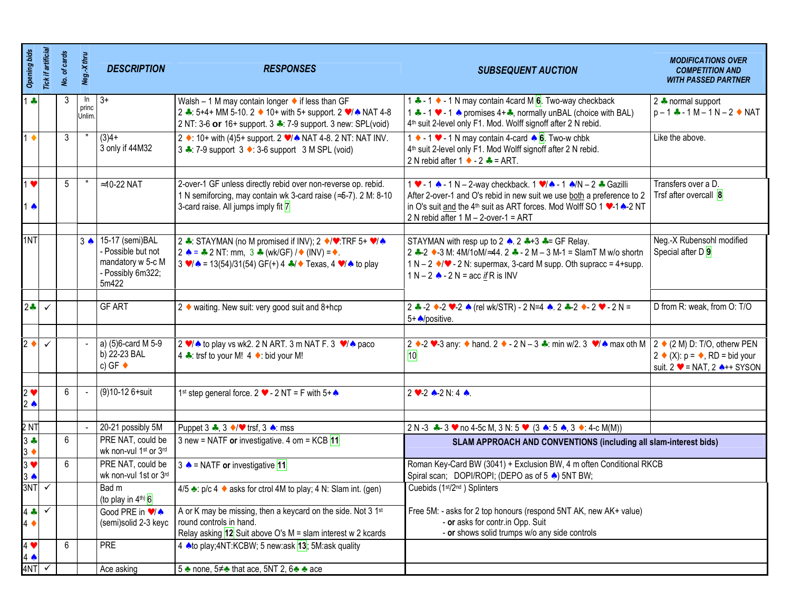| <b>Opening bids</b>           | Tick if artificial | No. of cards | Neg.-X thru           | <b>DESCRIPTION</b>                                                  | <b>RESPONSES</b>                                                                                                                                                                                       | <b>SUBSEQUENT AUCTION</b>                                                                                                                                                                                                | <b>MODIFICATIONS OVER</b><br><b>COMPETITION AND</b><br><b>WITH PASSED PARTNER</b>                               |
|-------------------------------|--------------------|--------------|-----------------------|---------------------------------------------------------------------|--------------------------------------------------------------------------------------------------------------------------------------------------------------------------------------------------------|--------------------------------------------------------------------------------------------------------------------------------------------------------------------------------------------------------------------------|-----------------------------------------------------------------------------------------------------------------|
| $1 -$                         |                    | 3            | In<br>princ<br>Unlim. | $3+$                                                                | Walsh $-1$ M may contain longer $\bullet$ if less than GF<br>2 →: 5+4+ MM 5-10. 2 → 10+ with 5+ support. 2 $\sqrt{*}$ NAT 4-8<br>2 NT: 3-6 or 16+ support. 3 .: 7-9 support. 3 new: SPL(void)          | 1 ← - 1 ← - 1 N may contain 4 card M 6. Two-way checkback<br>1 + -1 v - 1 A promises 4++, normally unBAL (choice with BAL)<br>4 <sup>th</sup> suit 2-level only F1. Mod. Wolff signoff after 2 N rebid.                  | 2 + normal support<br>$p - 1 - 1M - 1N - 2$ MAT                                                                 |
| $1 +$                         |                    | 3            |                       | $(3)4+$<br>3 only if 44M32                                          | 2 • : 10+ with (4)5+ support. 2 •/ • NAT 4-8. 2 NT: NAT INV.<br>3 ← 7-9 support 3 ← : 3-6 support 3 M SPL (void)                                                                                       | 1 $\bullet$ - 1 $\bullet$ - 1 N may contain 4-card $\bullet$ 6. Two-w chbk<br>4 <sup>th</sup> suit 2-level only F1. Mod Wolff signoff after 2 N rebid.<br>2 N rebid after 1 $\bullet$ - 2 $\bullet$ = ART.               | Like the above.                                                                                                 |
| $1 \cdot$                     |                    | 5            |                       | $\approx$ 10-22 NAT                                                 | 2-over-1 GF unless directly rebid over non-reverse op. rebid.                                                                                                                                          | 1 • - 1 • - 1 N - 2-way checkback. 1 • / • - 1 • /N - 2 • Gazilli                                                                                                                                                        | Transfers over a D.                                                                                             |
| $\spadesuit$                  |                    |              |                       |                                                                     | 1 N semiforcing, may contain wk 3-card raise (≈5-7). 2 M: 8-10<br>3-card raise. All jumps imply fit 7                                                                                                  | After 2-over-1 and O's rebid in new suit we use both a preference to 2<br>in O's suit and the 4 <sup>th</sup> suit as ART forces. Mod Wolff SO 1 v-1 <sup>2</sup> -2 NT<br>2 N rebid after $1 M - 2$ -over- $1 = ART$    | Trsf after overcall 8                                                                                           |
| 1NT                           |                    |              |                       | 3 . 15-17 (semi) BAL                                                | 2 →: STAYMAN (no M promised if INV); 2 →/ $\blacktriangledown$ : TRF 5+ $\blacktriangledown$ / $\blacktriangle$                                                                                        | STAYMAN with resp up to 2 $\triangle$ . 2 $\triangle$ +3 $\triangle$ = GF Relay.                                                                                                                                         | Neg.-X Rubensohl modified                                                                                       |
|                               |                    |              |                       | Possible but not<br>mandatory w 5-c M<br>- Possibly 6m322;<br>5m422 | 2 $\triangle$ = $\triangle$ 2 NT: mm, 3 $\triangle$ (wk/GF) / $\triangle$ (INV) = $\triangle$ .<br>$3 \vee 4 = 13(54)/31(54)$ GF(+) 4 $\clubsuit 4 \triangleright$ Texas, 4 $\triangleright 4$ to play | 2 $\div$ -2 $\div$ -3 M: 4M/1oM/≈44. 2 $\div$ - 2 M – 3 M-1 = SlamT M w/o shortn<br>$1 N - 2$ $\bullet$ / $\bullet$ - 2 N: supermax, 3-card M supp. Oth supracc = 4+supp.<br>1 N – 2 $\triangle$ - 2 N = acc if R is INV | Special after D 9                                                                                               |
| $2 -$                         | $\checkmark$       |              |                       | <b>GF ART</b>                                                       | 2 ♦ waiting. New suit: very good suit and 8+hcp                                                                                                                                                        | 2 + -2 + -2 + -2 ▲ (rel wk/STR) - 2 N=4 ▲ 2 + -2 + - 2 + - 2 N =<br>5+ positive.                                                                                                                                         | D from R: weak, from O: T/O                                                                                     |
|                               |                    |              |                       |                                                                     |                                                                                                                                                                                                        |                                                                                                                                                                                                                          |                                                                                                                 |
| $2 \bullet$                   | $\checkmark$       |              |                       | a) (5)6-card M 5-9<br>b) 22-23 BAL<br>c) GF $\triangleleft$         | 2 $\sqrt{\bullet}$ to play vs wk2. 2 N ART. 3 m NAT F. 3 $\sqrt{\bullet}$ paco<br>4 ← trsf to your M! 4 ← bid your M!                                                                                  | 2 $\bullet$ -2 $\bullet$ -3 any: $\bullet$ hand. 2 $\bullet$ - 2 N - 3 $\bullet$ : min w/2. 3 $\bullet$ / $\bullet$ max oth M   2 $\bullet$ (2 M) D: T/O, otherw PEN<br>10                                               | 2 $\bullet$ (X): $p = \bullet$ , RD = bid your<br>suit. $2 \cdot = \text{NAT}$ , $2 \cdot \cdot + \text{SYSON}$ |
| $2 \bullet$<br>$2 \triangle$  |                    | 6            |                       | (9)10-12 6+suit                                                     | 1 <sup>st</sup> step general force. 2 $\bullet$ - 2 NT = F with 5+ $\bullet$                                                                                                                           | $2 \vee 2 \wedge 2 \wedge 4$ .                                                                                                                                                                                           |                                                                                                                 |
| 2 NT                          |                    |              |                       | 20-21 possibly 5M                                                   |                                                                                                                                                                                                        |                                                                                                                                                                                                                          |                                                                                                                 |
| $3 +$                         |                    | 6            |                       | PRE NAT, could be                                                   | Puppet 3 $\clubsuit$ , 3 $\blacklozenge/\blacktriangledown$ trsf, 3 $\spadesuit$ : mss<br>3 new = NATF or investigative. 4 om = KCB 11                                                                 | 2 N -3 $\clubsuit$ - 3 $\triangleright$ no 4-5c M, 3 N: 5 $\triangleright$ (3 $\spadesuit$ : 5 $\spadesuit$ , 3 $\triangleright$ : 4-c M(M))<br>SLAM APPROACH AND CONVENTIONS (including all slam-interest bids)         |                                                                                                                 |
| $3 \bullet$<br>$3 \bullet$    |                    | 6            |                       | wk non-vul 1st or 3rd<br>PRE NAT, could be                          | 3 $\triangle$ = NATF or investigative 11                                                                                                                                                               | Roman Key-Card BW (3041) + Exclusion BW, 4 m often Conditional RKCB                                                                                                                                                      |                                                                                                                 |
| $3 \spadesuit$                |                    |              |                       | wk non-vul 1st or 3rd                                               |                                                                                                                                                                                                        | Spiral scan; DOPI/ROPI; (DEPO as of 5 .) 5NT BW;                                                                                                                                                                         |                                                                                                                 |
| 3NT                           | $\checkmark$       |              |                       | Bad m<br>(to play in $4^{\text{th}}$ ) 6                            | 4/5 ₹: p/c 4 ◆ asks for ctrol 4M to play; 4 N: Slam int. (gen)                                                                                                                                         | Cuebids (1 <sup>st</sup> /2 <sup>nd</sup> ) Splinters                                                                                                                                                                    |                                                                                                                 |
| $4 -$<br>$4 \bullet$          | $\checkmark$       |              |                       | Good PRE in $\sqrt{\lambda}$<br>(semi)solid 2-3 keyc                | A or K may be missing, then a keycard on the side. Not 3 1st<br>round controls in hand.<br>Relay asking $12$ Suit above O's M = slam interest w 2 kcards                                               | Free 5M: - asks for 2 top honours (respond 5NT AK, new AK+ value)<br>- or asks for contr.in Opp. Suit<br>- or shows solid trumps w/o any side controls                                                                   |                                                                                                                 |
| $4 \bullet$<br>$4 \spadesuit$ |                    | 6            |                       | <b>PRE</b>                                                          | 4 A to play; 4NT: KCBW; 5 new: ask 13; 5M: ask quality                                                                                                                                                 |                                                                                                                                                                                                                          |                                                                                                                 |
| 4NT                           |                    |              |                       | Ace asking                                                          | 5 changes none, 5 $\neq$ and that ace, 5NT 2, 6 changes ace                                                                                                                                            |                                                                                                                                                                                                                          |                                                                                                                 |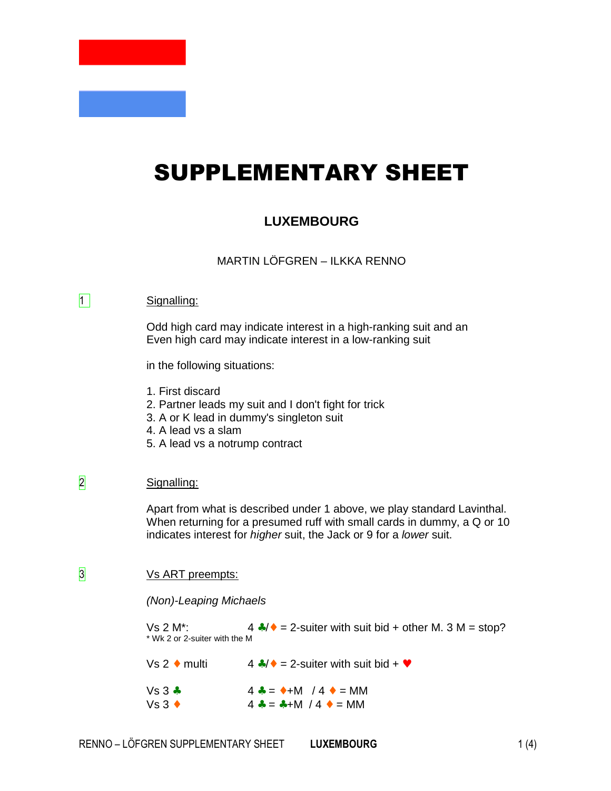# SUPPLEMENTARY SHEET

## **LUXEMBOURG**

MARTIN LÖFGREN – ILKKA RENNO

#### 1 Signalling:

Odd high card may indicate interest in a high-ranking suit and an Even high card may indicate interest in a low-ranking suit

in the following situations:

- 1. First discard
- 2. Partner leads my suit and I don't fight for trick
- 3. A or K lead in dummy's singleton suit
- 4. A lead vs a slam
- 5. A lead vs a notrump contract

### 2 Signalling:

Apart from what is described under 1 above, we play standard Lavinthal. When returning for a presumed ruff with small cards in dummy, a Q or 10 indicates interest for higher suit, the Jack or 9 for a lower suit.

## 3 Vs ART preempts:

#### (Non)-Leaping Michaels

Vs 2 M<sup>\*</sup>:  $4 \cdot 4 = 2$ -suiter with suit bid + other M. 3 M = stop? \* Wk 2 or 2-suiter with the M

Vs 2  $\bullet$  multi 4  $\clubsuit/\bullet$  = 2-suiter with suit bid +  $\bullet$ 

 $Vs 3 * 4 * = *+M / 4 * = MM$  $Vs 3 \rightarrow 4 * = M / 4 * = MM$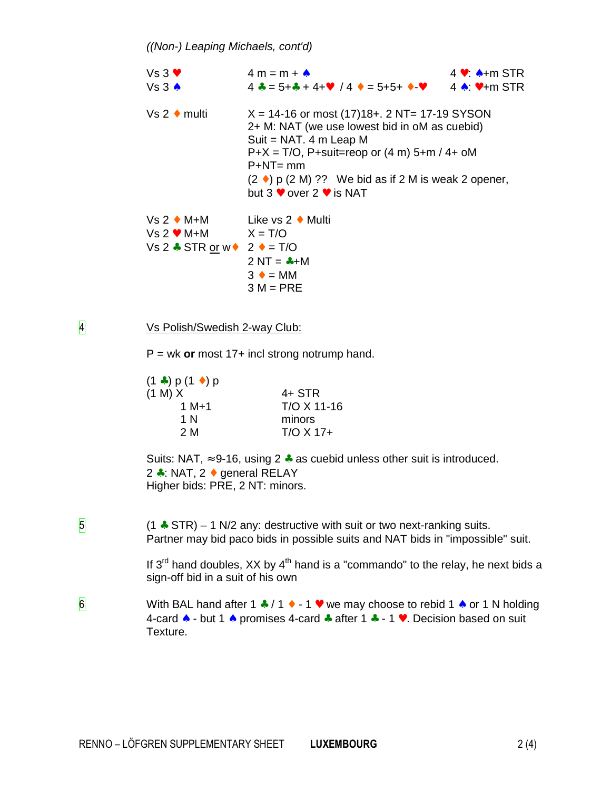| $Vs3$ $\vee$<br>Vs3 A                                                                    | $4 m = m + A$                                                                                                                                                                                                                                                                                          | $4 \vee A+m$ STR |
|------------------------------------------------------------------------------------------|--------------------------------------------------------------------------------------------------------------------------------------------------------------------------------------------------------------------------------------------------------------------------------------------------------|------------------|
| $Vs 2 \cdot multi$                                                                       | $X = 14-16$ or most (17)18+. 2 NT= 17-19 SYSON<br>2+ M: NAT (we use lowest bid in oM as cuebid)<br>Suit = $NAT. 4 m Leap M$<br>$P+X = T/O$ , P+suit=reop or (4 m) 5+m / 4+ oM<br>$P+NT = mm$<br>$(2 \cdot)$ p $(2 M)$ ?? We bid as if 2 M is weak 2 opener,<br>but 3 $\bullet$ over 2 $\bullet$ is NAT |                  |
| Vs 2 ◆ M+M<br>$Vs 2 \cdot M + M$ $X = T/O$<br>Vs 2 $\div$ STR or w $\div$ 2 $\div$ = T/O | Like vs 2 $\bullet$ Multi<br>$2 NT = +M$<br>$3 \cdot = MM$<br>$3 M = PRE$                                                                                                                                                                                                                              |                  |

4 Vs Polish/Swedish 2-way Club:

P = wk **or** most 17+ incl strong notrump hand.

| $(1 \bullet) p (1 \bullet) p$<br>(1 M) X | $4+$ STR              |
|------------------------------------------|-----------------------|
| $1 M+1$                                  | T/O X 11-16           |
| 1 N<br>2 M                               | minors<br>$T/O X 17+$ |
|                                          |                       |

Suits: NAT,  $\approx$  9-16, using 2  $\clubsuit$  as cuebid unless other suit is introduced. 2 ♣: NAT, 2 ♦ general RELAY Higher bids: PRE, 2 NT: minors.

 $\sqrt{5}$  (1  $\div$  STR) – 1 N/2 any: destructive with suit or two next-ranking suits. Partner may bid paco bids in possible suits and NAT bids in "impossible" suit.

> If  $3^{rd}$  hand doubles, XX by  $4^{th}$  hand is a "commando" to the relay, he next bids a sign-off bid in a suit of his own

6 With BAL hand after 1  $\div$  / 1  $\div$  - 1  $\div$  we may choose to rebid 1  $\div$  or 1 N holding 4-card ♠ - but 1 ♠ promises 4-card ♣ after 1 ♣ - 1 ♥. Decision based on suit Texture.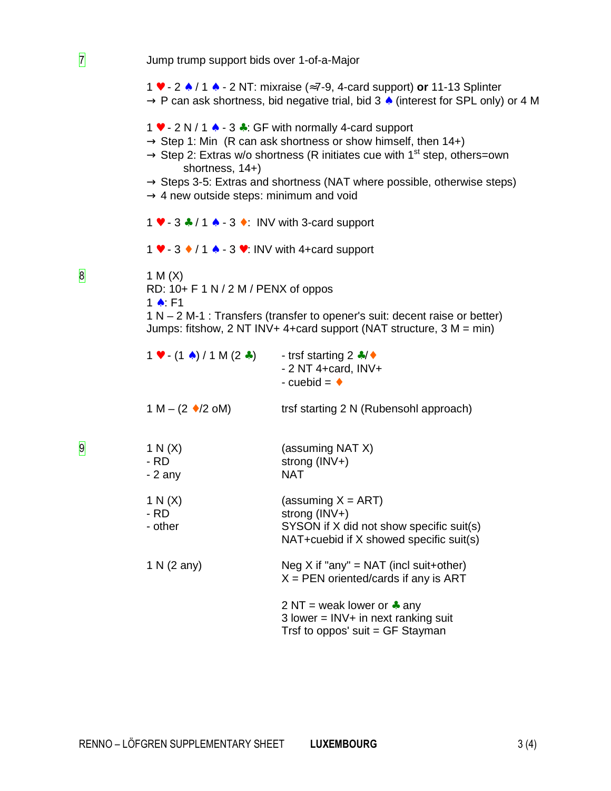|                |                                                                                   | 1 $\bullet$ - 2 $\bullet$ / 1 $\bullet$ - 2 NT: mixraise ( $\approx$ 7-9, 4-card support) or 11-13 Splinter<br>$\rightarrow$ P can ask shortness, bid negative trial, bid 3 $\land$ (interest for SPL only) or 4 M                                                                                                                                       |
|----------------|-----------------------------------------------------------------------------------|----------------------------------------------------------------------------------------------------------------------------------------------------------------------------------------------------------------------------------------------------------------------------------------------------------------------------------------------------------|
|                | shortness, 14+)<br>$\rightarrow$ 4 new outside steps: minimum and void            | 1 $\bullet$ - 2 N / 1 $\bullet$ - 3 $\bullet$ : GF with normally 4-card support<br>$\rightarrow$ Step 1: Min (R can ask shortness or show himself, then 14+)<br>$\rightarrow$ Step 2: Extras w/o shortness (R initiates cue with 1 <sup>st</sup> step, others=own<br>$\rightarrow$ Steps 3-5: Extras and shortness (NAT where possible, otherwise steps) |
|                | 1 $\bullet$ - 3 $\bullet$ / 1 $\bullet$ - 3 $\bullet$ : INV with 3-card support   |                                                                                                                                                                                                                                                                                                                                                          |
|                | $1 \cdot 3 \cdot 7 \cdot 1 \cdot 3 \cdot 1$ - 3 $\cdot 1$ INV with 4+card support |                                                                                                                                                                                                                                                                                                                                                          |
| $\bf{8}$       | 1 M $(X)$<br>RD: $10+ F 1 N / 2 M / PENX$ of oppos<br>1 A F1                      | $1 N - 2 M - 1$ : Transfers (transfer to opener's suit: decent raise or better)<br>Jumps: fitshow, $2 NT INV+ 4 + card support (NAT structure, 3 M = min)$                                                                                                                                                                                               |
|                | $1 \cdot (-1 \cdot ) / 1 M (2 \cdot )$                                            | - trsf starting $2 * / *$<br>$-2$ NT 4+card, INV+<br>- cuebid = $\triangle$                                                                                                                                                                                                                                                                              |
|                | 1 M – (2 $\bullet$ /2 oM)                                                         | trsf starting 2 N (Rubensohl approach)                                                                                                                                                                                                                                                                                                                   |
| $\overline{9}$ | 1 N(X)<br>$-RD$<br>$-2$ any                                                       | (assuming NAT X)<br>strong (INV+)<br><b>NAT</b>                                                                                                                                                                                                                                                                                                          |
|                | 1 N(X)<br>- RD<br>- other                                                         | (assuming $X = ART$ )<br>strong (INV+)<br>SYSON if X did not show specific suit(s)<br>NAT+cuebid if X showed specific suit(s)                                                                                                                                                                                                                            |
|                | 1 N (2 any)                                                                       | Neg X if "any" = NAT (incl suit+other)<br>$X = PEN$ oriented/cards if any is ART                                                                                                                                                                                                                                                                         |
|                |                                                                                   | 2 NT = weak lower or $\clubsuit$ any<br>$3$ lower = INV+ in next ranking suit<br>Trsf to oppos' suit = GF Stayman                                                                                                                                                                                                                                        |